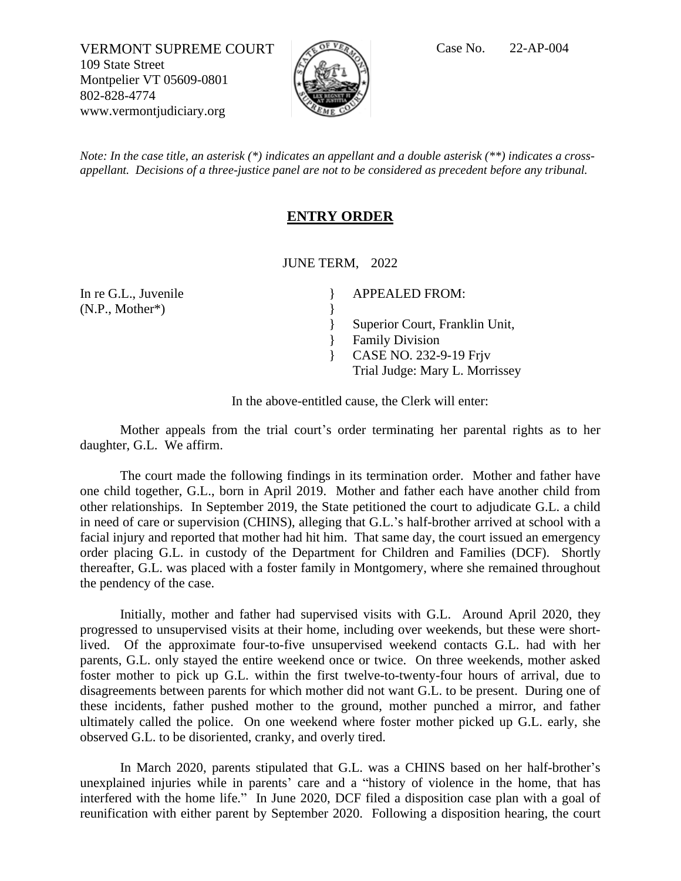VERMONT SUPREME COURT  $\sqrt{C}$ <sup>of VR</sup>A Case No. 22-AP-004 109 State Street Montpelier VT 05609-0801 802-828-4774 www.vermontjudiciary.org



*Note: In the case title, an asterisk (\*) indicates an appellant and a double asterisk (\*\*) indicates a crossappellant. Decisions of a three-justice panel are not to be considered as precedent before any tribunal.*

## **ENTRY ORDER**

JUNE TERM, 2022

} }

}

In re G.L., Juvenile (N.P., Mother\*)

APPEALED FROM:

Superior Court, Franklin Unit,

- } Family Division
- } CASE NO. 232-9-19 Frjv
	- Trial Judge: Mary L. Morrissey

In the above-entitled cause, the Clerk will enter:

Mother appeals from the trial court's order terminating her parental rights as to her daughter, G.L. We affirm.

The court made the following findings in its termination order. Mother and father have one child together, G.L., born in April 2019. Mother and father each have another child from other relationships. In September 2019, the State petitioned the court to adjudicate G.L. a child in need of care or supervision (CHINS), alleging that G.L.'s half-brother arrived at school with a facial injury and reported that mother had hit him. That same day, the court issued an emergency order placing G.L. in custody of the Department for Children and Families (DCF). Shortly thereafter, G.L. was placed with a foster family in Montgomery, where she remained throughout the pendency of the case.

Initially, mother and father had supervised visits with G.L. Around April 2020, they progressed to unsupervised visits at their home, including over weekends, but these were shortlived. Of the approximate four-to-five unsupervised weekend contacts G.L. had with her parents, G.L. only stayed the entire weekend once or twice. On three weekends, mother asked foster mother to pick up G.L. within the first twelve-to-twenty-four hours of arrival, due to disagreements between parents for which mother did not want G.L. to be present. During one of these incidents, father pushed mother to the ground, mother punched a mirror, and father ultimately called the police. On one weekend where foster mother picked up G.L. early, she observed G.L. to be disoriented, cranky, and overly tired.

In March 2020, parents stipulated that G.L. was a CHINS based on her half-brother's unexplained injuries while in parents' care and a "history of violence in the home, that has interfered with the home life." In June 2020, DCF filed a disposition case plan with a goal of reunification with either parent by September 2020. Following a disposition hearing, the court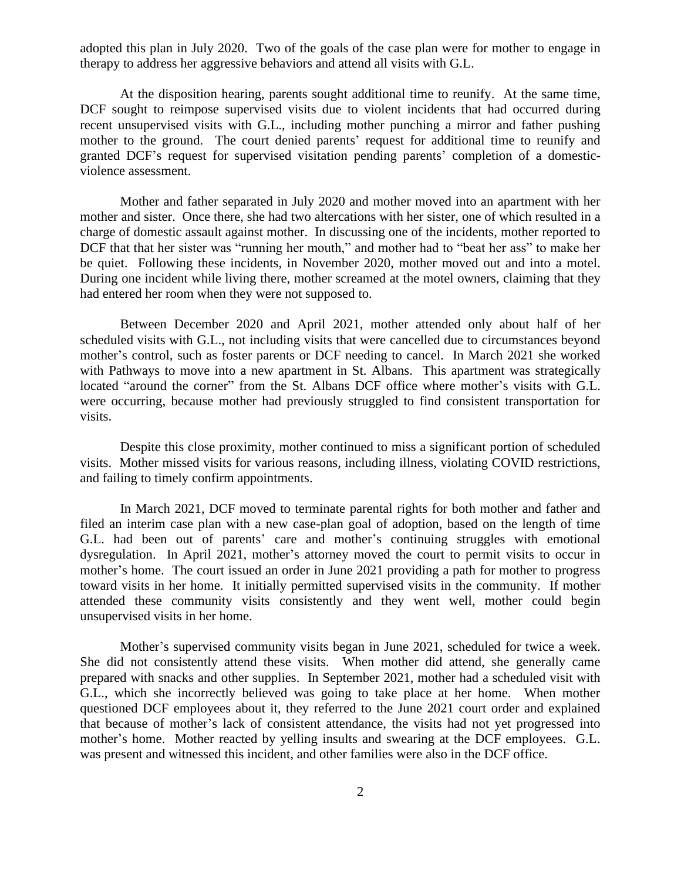adopted this plan in July 2020. Two of the goals of the case plan were for mother to engage in therapy to address her aggressive behaviors and attend all visits with G.L.

At the disposition hearing, parents sought additional time to reunify. At the same time, DCF sought to reimpose supervised visits due to violent incidents that had occurred during recent unsupervised visits with G.L., including mother punching a mirror and father pushing mother to the ground. The court denied parents' request for additional time to reunify and granted DCF's request for supervised visitation pending parents' completion of a domesticviolence assessment.

Mother and father separated in July 2020 and mother moved into an apartment with her mother and sister. Once there, she had two altercations with her sister, one of which resulted in a charge of domestic assault against mother. In discussing one of the incidents, mother reported to DCF that that her sister was "running her mouth," and mother had to "beat her ass" to make her be quiet. Following these incidents, in November 2020, mother moved out and into a motel. During one incident while living there, mother screamed at the motel owners, claiming that they had entered her room when they were not supposed to.

Between December 2020 and April 2021, mother attended only about half of her scheduled visits with G.L., not including visits that were cancelled due to circumstances beyond mother's control, such as foster parents or DCF needing to cancel. In March 2021 she worked with Pathways to move into a new apartment in St. Albans. This apartment was strategically located "around the corner" from the St. Albans DCF office where mother's visits with G.L. were occurring, because mother had previously struggled to find consistent transportation for visits.

Despite this close proximity, mother continued to miss a significant portion of scheduled visits. Mother missed visits for various reasons, including illness, violating COVID restrictions, and failing to timely confirm appointments.

In March 2021, DCF moved to terminate parental rights for both mother and father and filed an interim case plan with a new case-plan goal of adoption, based on the length of time G.L. had been out of parents' care and mother's continuing struggles with emotional dysregulation. In April 2021, mother's attorney moved the court to permit visits to occur in mother's home. The court issued an order in June 2021 providing a path for mother to progress toward visits in her home. It initially permitted supervised visits in the community. If mother attended these community visits consistently and they went well, mother could begin unsupervised visits in her home.

Mother's supervised community visits began in June 2021, scheduled for twice a week. She did not consistently attend these visits. When mother did attend, she generally came prepared with snacks and other supplies. In September 2021, mother had a scheduled visit with G.L., which she incorrectly believed was going to take place at her home. When mother questioned DCF employees about it, they referred to the June 2021 court order and explained that because of mother's lack of consistent attendance, the visits had not yet progressed into mother's home. Mother reacted by yelling insults and swearing at the DCF employees. G.L. was present and witnessed this incident, and other families were also in the DCF office.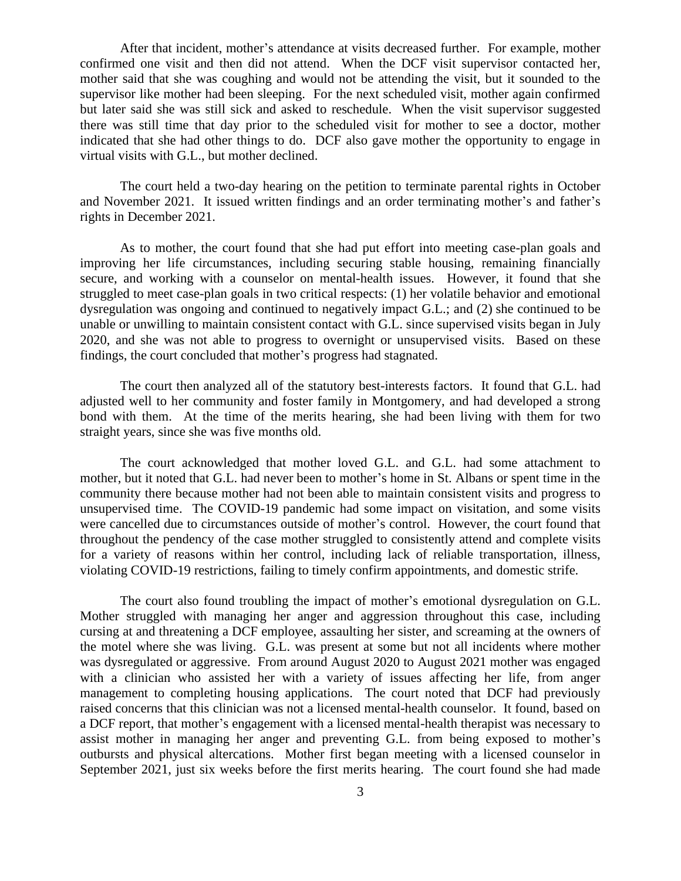After that incident, mother's attendance at visits decreased further. For example, mother confirmed one visit and then did not attend. When the DCF visit supervisor contacted her, mother said that she was coughing and would not be attending the visit, but it sounded to the supervisor like mother had been sleeping. For the next scheduled visit, mother again confirmed but later said she was still sick and asked to reschedule. When the visit supervisor suggested there was still time that day prior to the scheduled visit for mother to see a doctor, mother indicated that she had other things to do. DCF also gave mother the opportunity to engage in virtual visits with G.L., but mother declined.

The court held a two-day hearing on the petition to terminate parental rights in October and November 2021. It issued written findings and an order terminating mother's and father's rights in December 2021.

As to mother, the court found that she had put effort into meeting case-plan goals and improving her life circumstances, including securing stable housing, remaining financially secure, and working with a counselor on mental-health issues. However, it found that she struggled to meet case-plan goals in two critical respects: (1) her volatile behavior and emotional dysregulation was ongoing and continued to negatively impact G.L.; and (2) she continued to be unable or unwilling to maintain consistent contact with G.L. since supervised visits began in July 2020, and she was not able to progress to overnight or unsupervised visits. Based on these findings, the court concluded that mother's progress had stagnated.

The court then analyzed all of the statutory best-interests factors. It found that G.L. had adjusted well to her community and foster family in Montgomery, and had developed a strong bond with them. At the time of the merits hearing, she had been living with them for two straight years, since she was five months old.

The court acknowledged that mother loved G.L. and G.L. had some attachment to mother, but it noted that G.L. had never been to mother's home in St. Albans or spent time in the community there because mother had not been able to maintain consistent visits and progress to unsupervised time. The COVID-19 pandemic had some impact on visitation, and some visits were cancelled due to circumstances outside of mother's control. However, the court found that throughout the pendency of the case mother struggled to consistently attend and complete visits for a variety of reasons within her control, including lack of reliable transportation, illness, violating COVID-19 restrictions, failing to timely confirm appointments, and domestic strife.

The court also found troubling the impact of mother's emotional dysregulation on G.L. Mother struggled with managing her anger and aggression throughout this case, including cursing at and threatening a DCF employee, assaulting her sister, and screaming at the owners of the motel where she was living. G.L. was present at some but not all incidents where mother was dysregulated or aggressive. From around August 2020 to August 2021 mother was engaged with a clinician who assisted her with a variety of issues affecting her life, from anger management to completing housing applications. The court noted that DCF had previously raised concerns that this clinician was not a licensed mental-health counselor. It found, based on a DCF report, that mother's engagement with a licensed mental-health therapist was necessary to assist mother in managing her anger and preventing G.L. from being exposed to mother's outbursts and physical altercations. Mother first began meeting with a licensed counselor in September 2021, just six weeks before the first merits hearing. The court found she had made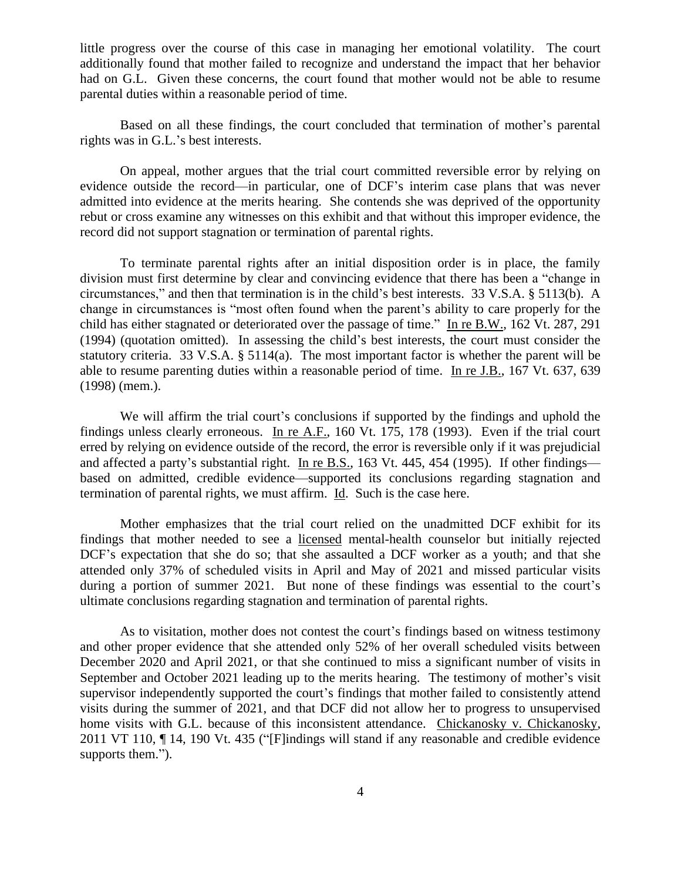little progress over the course of this case in managing her emotional volatility. The court additionally found that mother failed to recognize and understand the impact that her behavior had on G.L. Given these concerns, the court found that mother would not be able to resume parental duties within a reasonable period of time.

Based on all these findings, the court concluded that termination of mother's parental rights was in G.L.'s best interests.

On appeal, mother argues that the trial court committed reversible error by relying on evidence outside the record—in particular, one of DCF's interim case plans that was never admitted into evidence at the merits hearing. She contends she was deprived of the opportunity rebut or cross examine any witnesses on this exhibit and that without this improper evidence, the record did not support stagnation or termination of parental rights.

To terminate parental rights after an initial disposition order is in place, the family division must first determine by clear and convincing evidence that there has been a "change in circumstances," and then that termination is in the child's best interests. 33 V.S.A. § 5113(b). A change in circumstances is "most often found when the parent's ability to care properly for the child has either stagnated or deteriorated over the passage of time." In re B.W., 162 Vt. 287, 291 (1994) (quotation omitted). In assessing the child's best interests, the court must consider the statutory criteria. 33 V.S.A. § 5114(a). The most important factor is whether the parent will be able to resume parenting duties within a reasonable period of time. In re J.B., 167 Vt. 637, 639 (1998) (mem.).

We will affirm the trial court's conclusions if supported by the findings and uphold the findings unless clearly erroneous. In re A.F., 160 Vt. 175, 178 (1993). Even if the trial court erred by relying on evidence outside of the record, the error is reversible only if it was prejudicial and affected a party's substantial right. In re B.S., 163 Vt. 445, 454 (1995). If other findings based on admitted, credible evidence—supported its conclusions regarding stagnation and termination of parental rights, we must affirm. Id. Such is the case here.

Mother emphasizes that the trial court relied on the unadmitted DCF exhibit for its findings that mother needed to see a licensed mental-health counselor but initially rejected DCF's expectation that she do so; that she assaulted a DCF worker as a youth; and that she attended only 37% of scheduled visits in April and May of 2021 and missed particular visits during a portion of summer 2021. But none of these findings was essential to the court's ultimate conclusions regarding stagnation and termination of parental rights.

As to visitation, mother does not contest the court's findings based on witness testimony and other proper evidence that she attended only 52% of her overall scheduled visits between December 2020 and April 2021, or that she continued to miss a significant number of visits in September and October 2021 leading up to the merits hearing. The testimony of mother's visit supervisor independently supported the court's findings that mother failed to consistently attend visits during the summer of 2021, and that DCF did not allow her to progress to unsupervised home visits with G.L. because of this inconsistent attendance. Chickanosky v. Chickanosky, 2011 VT 110, ¶ 14, 190 Vt. 435 ("[F]indings will stand if any reasonable and credible evidence supports them.").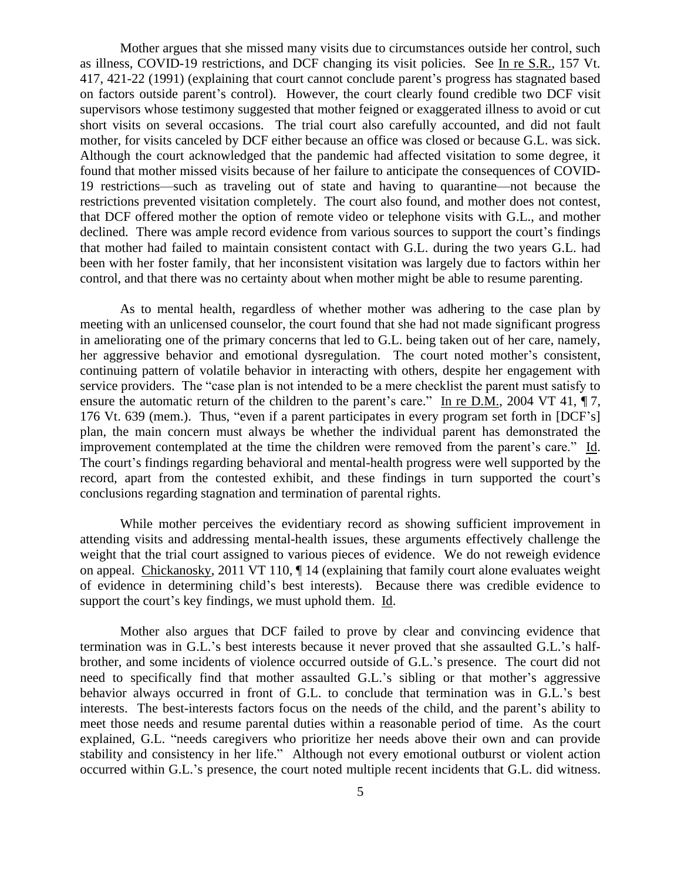Mother argues that she missed many visits due to circumstances outside her control, such as illness, COVID-19 restrictions, and DCF changing its visit policies. See In re S.R., 157 Vt. 417, 421-22 (1991) (explaining that court cannot conclude parent's progress has stagnated based on factors outside parent's control). However, the court clearly found credible two DCF visit supervisors whose testimony suggested that mother feigned or exaggerated illness to avoid or cut short visits on several occasions. The trial court also carefully accounted, and did not fault mother, for visits canceled by DCF either because an office was closed or because G.L. was sick. Although the court acknowledged that the pandemic had affected visitation to some degree, it found that mother missed visits because of her failure to anticipate the consequences of COVID-19 restrictions—such as traveling out of state and having to quarantine—not because the restrictions prevented visitation completely. The court also found, and mother does not contest, that DCF offered mother the option of remote video or telephone visits with G.L., and mother declined. There was ample record evidence from various sources to support the court's findings that mother had failed to maintain consistent contact with G.L. during the two years G.L. had been with her foster family, that her inconsistent visitation was largely due to factors within her control, and that there was no certainty about when mother might be able to resume parenting.

As to mental health, regardless of whether mother was adhering to the case plan by meeting with an unlicensed counselor, the court found that she had not made significant progress in ameliorating one of the primary concerns that led to G.L. being taken out of her care, namely, her aggressive behavior and emotional dysregulation. The court noted mother's consistent, continuing pattern of volatile behavior in interacting with others, despite her engagement with service providers. The "case plan is not intended to be a mere checklist the parent must satisfy to ensure the automatic return of the children to the parent's care." In re D.M., 2004 VT 41,  $\P$ 7, 176 Vt. 639 (mem.). Thus, "even if a parent participates in every program set forth in [DCF's] plan, the main concern must always be whether the individual parent has demonstrated the improvement contemplated at the time the children were removed from the parent's care." Id. The court's findings regarding behavioral and mental-health progress were well supported by the record, apart from the contested exhibit, and these findings in turn supported the court's conclusions regarding stagnation and termination of parental rights.

While mother perceives the evidentiary record as showing sufficient improvement in attending visits and addressing mental-health issues, these arguments effectively challenge the weight that the trial court assigned to various pieces of evidence. We do not reweigh evidence on appeal. Chickanosky, 2011 VT 110, ¶ 14 (explaining that family court alone evaluates weight of evidence in determining child's best interests). Because there was credible evidence to support the court's key findings, we must uphold them. Id.

Mother also argues that DCF failed to prove by clear and convincing evidence that termination was in G.L.'s best interests because it never proved that she assaulted G.L.'s halfbrother, and some incidents of violence occurred outside of G.L.'s presence. The court did not need to specifically find that mother assaulted G.L.'s sibling or that mother's aggressive behavior always occurred in front of G.L. to conclude that termination was in G.L.'s best interests. The best-interests factors focus on the needs of the child, and the parent's ability to meet those needs and resume parental duties within a reasonable period of time. As the court explained, G.L. "needs caregivers who prioritize her needs above their own and can provide stability and consistency in her life." Although not every emotional outburst or violent action occurred within G.L.'s presence, the court noted multiple recent incidents that G.L. did witness.